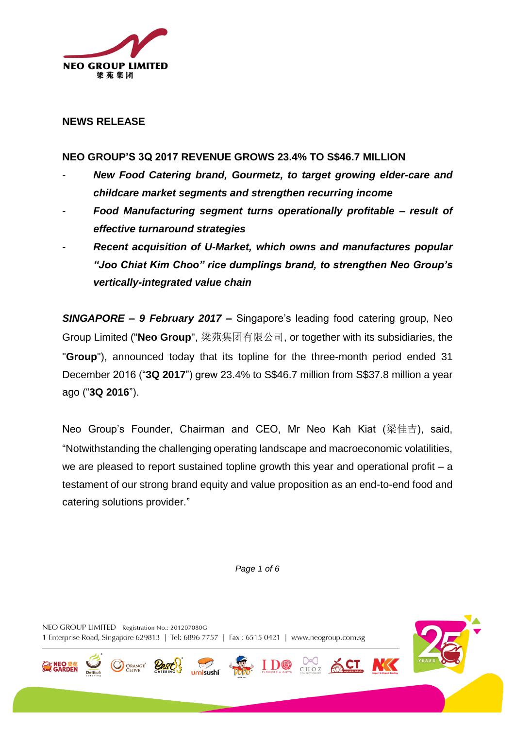

### **NEWS RELEASE**

### **NEO GROUP'S 3Q 2017 REVENUE GROWS 23.4% TO S\$46.7 MILLION**

- *New Food Catering brand, Gourmetz, to target growing elder-care and childcare market segments and strengthen recurring income*
- *Food Manufacturing segment turns operationally profitable – result of effective turnaround strategies*
- *Recent acquisition of U-Market, which owns and manufactures popular "Joo Chiat Kim Choo" rice dumplings brand, to strengthen Neo Group's vertically-integrated value chain*

*SINGAPORE – 9 February 2017* **–** Singapore's leading food catering group, Neo Group Limited ("**Neo Group**", 梁苑集团有限公司, or together with its subsidiaries, the "**Group**"), announced today that its topline for the three-month period ended 31 December 2016 ("**3Q 2017**") grew 23.4% to S\$46.7 million from S\$37.8 million a year ago ("**3Q 2016**").

Neo Group's Founder, Chairman and CEO, Mr Neo Kah Kiat (梁佳吉), said, "Notwithstanding the challenging operating landscape and macroeconomic volatilities, we are pleased to report sustained topline growth this year and operational profit – a testament of our strong brand equity and value proposition as an end-to-end food and catering solutions provider."

*Page 1 of 6*

**I D®** 

CHOZ

NEO GROUP LIMITED Registration No.: 201207080G 1 Enterprise Road, Singapore 629813 | Tel: 6896 7757 | Fax : 6515 0421 | www.neogroup.com.sg

ORANGE<sup>®</sup>

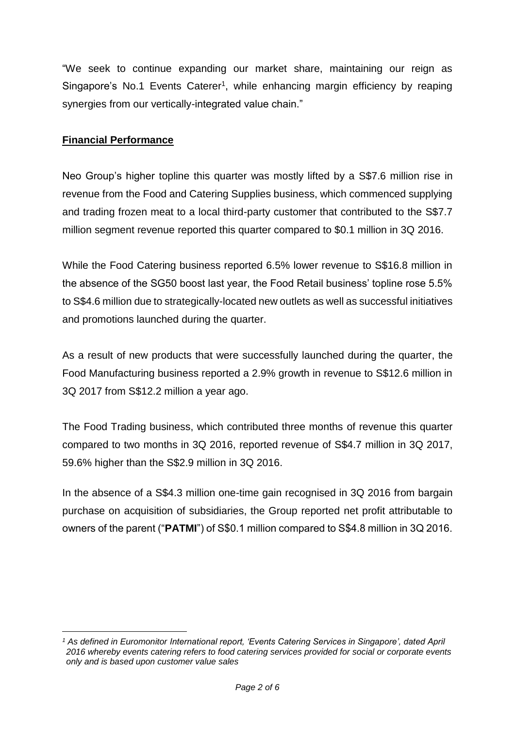"We seek to continue expanding our market share, maintaining our reign as Singapore's No.1 Events Caterer<sup>1</sup>, while enhancing margin efficiency by reaping synergies from our vertically-integrated value chain."

## **Financial Performance**

Neo Group's higher topline this quarter was mostly lifted by a S\$7.6 million rise in revenue from the Food and Catering Supplies business, which commenced supplying and trading frozen meat to a local third-party customer that contributed to the S\$7.7 million segment revenue reported this quarter compared to \$0.1 million in 3Q 2016.

While the Food Catering business reported 6.5% lower revenue to S\$16.8 million in the absence of the SG50 boost last year, the Food Retail business' topline rose 5.5% to S\$4.6 million due to strategically-located new outlets as well as successful initiatives and promotions launched during the quarter.

As a result of new products that were successfully launched during the quarter, the Food Manufacturing business reported a 2.9% growth in revenue to S\$12.6 million in 3Q 2017 from S\$12.2 million a year ago.

The Food Trading business, which contributed three months of revenue this quarter compared to two months in 3Q 2016, reported revenue of S\$4.7 million in 3Q 2017, 59.6% higher than the S\$2.9 million in 3Q 2016.

In the absence of a S\$4.3 million one-time gain recognised in 3Q 2016 from bargain purchase on acquisition of subsidiaries, the Group reported net profit attributable to owners of the parent ("**PATMI**") of S\$0.1 million compared to S\$4.8 million in 3Q 2016.

<sup>&</sup>lt;u>.</u> *<sup>1</sup> As defined in Euromonitor International report, 'Events Catering Services in Singapore', dated April 2016 whereby events catering refers to food catering services provided for social or corporate events only and is based upon customer value sales*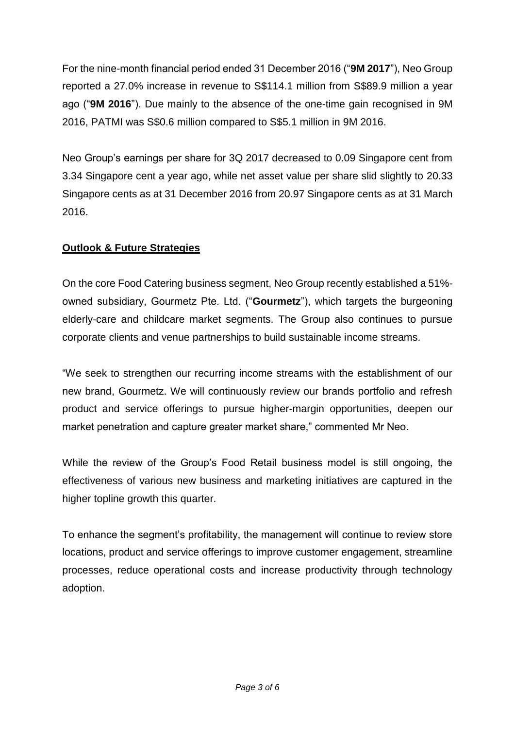For the nine-month financial period ended 31 December 2016 ("**9M 2017**"), Neo Group reported a 27.0% increase in revenue to S\$114.1 million from S\$89.9 million a year ago ("**9M 2016**"). Due mainly to the absence of the one-time gain recognised in 9M 2016, PATMI was S\$0.6 million compared to S\$5.1 million in 9M 2016.

Neo Group's earnings per share for 3Q 2017 decreased to 0.09 Singapore cent from 3.34 Singapore cent a year ago, while net asset value per share slid slightly to 20.33 Singapore cents as at 31 December 2016 from 20.97 Singapore cents as at 31 March 2016.

# **Outlook & Future Strategies**

On the core Food Catering business segment, Neo Group recently established a 51% owned subsidiary, Gourmetz Pte. Ltd. ("**Gourmetz**"), which targets the burgeoning elderly-care and childcare market segments. The Group also continues to pursue corporate clients and venue partnerships to build sustainable income streams.

"We seek to strengthen our recurring income streams with the establishment of our new brand, Gourmetz. We will continuously review our brands portfolio and refresh product and service offerings to pursue higher-margin opportunities, deepen our market penetration and capture greater market share," commented Mr Neo.

While the review of the Group's Food Retail business model is still ongoing, the effectiveness of various new business and marketing initiatives are captured in the higher topline growth this quarter.

To enhance the segment's profitability, the management will continue to review store locations, product and service offerings to improve customer engagement, streamline processes, reduce operational costs and increase productivity through technology adoption.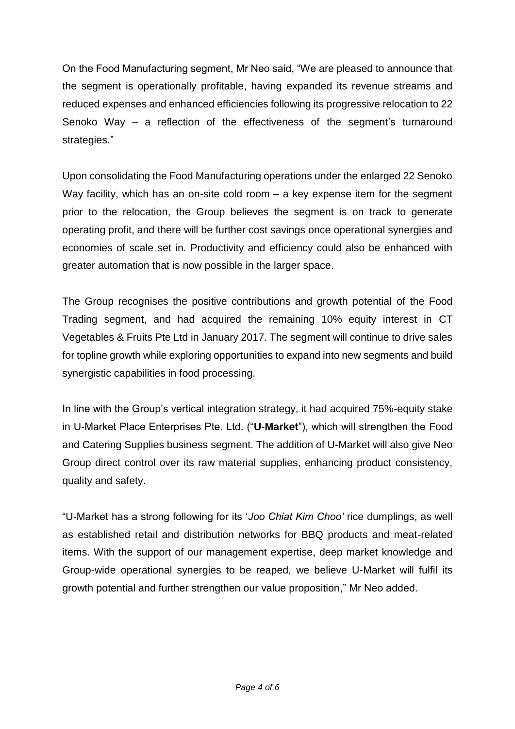On the Food Manufacturing segment, Mr Neo said, "We are pleased to announce that the segment is operationally profitable, having expanded its revenue streams and reduced expenses and enhanced efficiencies following its progressive relocation to 22 Senoko Way – a reflection of the effectiveness of the segment's turnaround strategies."

Upon consolidating the Food Manufacturing operations under the enlarged 22 Senoko Way facility, which has an on-site cold room – a key expense item for the segment prior to the relocation, the Group believes the segment is on track to generate operating profit, and there will be further cost savings once operational synergies and economies of scale set in. Productivity and efficiency could also be enhanced with greater automation that is now possible in the larger space.

The Group recognises the positive contributions and growth potential of the Food Trading segment, and had acquired the remaining 10% equity interest in CT Vegetables & Fruits Pte Ltd in January 2017. The segment will continue to drive sales for topline growth while exploring opportunities to expand into new segments and build synergistic capabilities in food processing.

In line with the Group's vertical integration strategy, it had acquired 75%-equity stake in U-Market Place Enterprises Pte. Ltd. ("**U-Market**"), which will strengthen the Food and Catering Supplies business segment. The addition of U-Market will also give Neo Group direct control over its raw material supplies, enhancing product consistency, quality and safety.

"U-Market has a strong following for its '*Joo Chiat Kim Choo'* rice dumplings, as well as established retail and distribution networks for BBQ products and meat-related items. With the support of our management expertise, deep market knowledge and Group-wide operational synergies to be reaped, we believe U-Market will fulfil its growth potential and further strengthen our value proposition," Mr Neo added.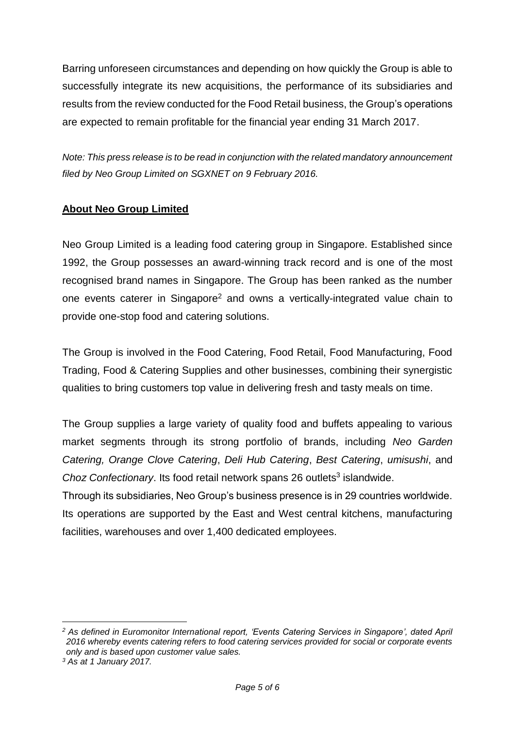Barring unforeseen circumstances and depending on how quickly the Group is able to successfully integrate its new acquisitions, the performance of its subsidiaries and results from the review conducted for the Food Retail business, the Group's operations are expected to remain profitable for the financial year ending 31 March 2017.

*Note: This press release is to be read in conjunction with the related mandatory announcement filed by Neo Group Limited on SGXNET on 9 February 2016.*

## **About Neo Group Limited**

Neo Group Limited is a leading food catering group in Singapore. Established since 1992, the Group possesses an award-winning track record and is one of the most recognised brand names in Singapore. The Group has been ranked as the number one events caterer in Singapore<sup>2</sup> and owns a vertically-integrated value chain to provide one-stop food and catering solutions.

The Group is involved in the Food Catering, Food Retail, Food Manufacturing, Food Trading, Food & Catering Supplies and other businesses, combining their synergistic qualities to bring customers top value in delivering fresh and tasty meals on time.

The Group supplies a large variety of quality food and buffets appealing to various market segments through its strong portfolio of brands, including *Neo Garden Catering, Orange Clove Catering*, *Deli Hub Catering*, *Best Catering*, *umisushi*, and Choz Confectionary. Its food retail network spans 26 outlets<sup>3</sup> islandwide.

Through its subsidiaries, Neo Group's business presence is in 29 countries worldwide. Its operations are supported by the East and West central kitchens, manufacturing facilities, warehouses and over 1,400 dedicated employees.

1

*<sup>2</sup> As defined in Euromonitor International report, 'Events Catering Services in Singapore', dated April 2016 whereby events catering refers to food catering services provided for social or corporate events only and is based upon customer value sales.*

*<sup>3</sup> As at 1 January 2017.*